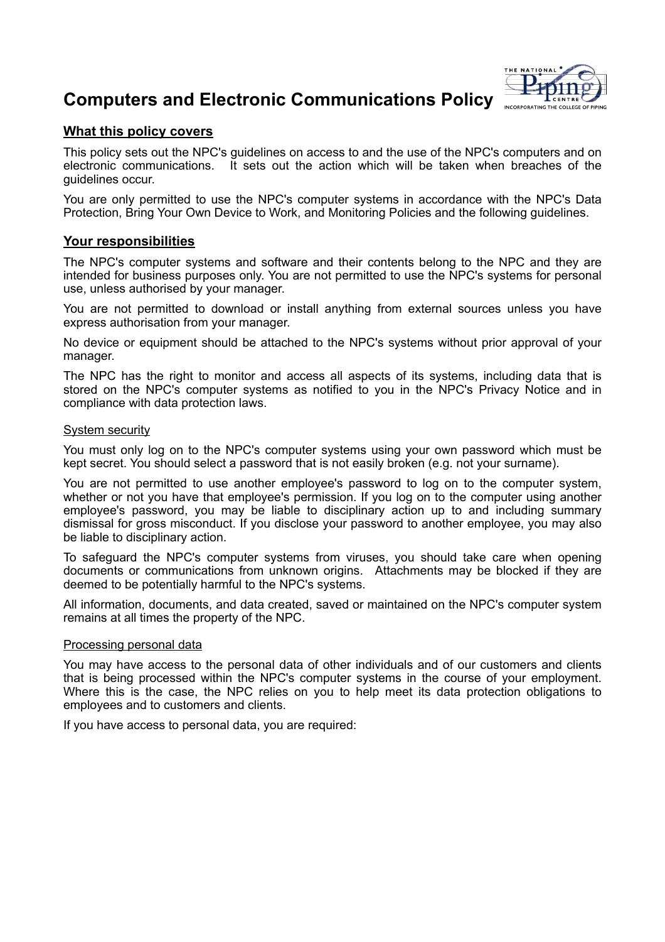# **Computers and Electronic Communications Policy**



# **What this policy covers**

This policy sets out the NPC's guidelines on access to and the use of the NPC's computers and on electronic communications. It sets out the action which will be taken when breaches of the guidelines occur.

You are only permitted to use the NPC's computer systems in accordance with the NPC's Data Protection, Bring Your Own Device to Work, and Monitoring Policies and the following guidelines.

# **Your responsibilities**

The NPC's computer systems and software and their contents belong to the NPC and they are intended for business purposes only. You are not permitted to use the NPC's systems for personal use, unless authorised by your manager.

You are not permitted to download or install anything from external sources unless you have express authorisation from your manager.

No device or equipment should be attached to the NPC's systems without prior approval of your manager.

The NPC has the right to monitor and access all aspects of its systems, including data that is stored on the NPC's computer systems as notified to you in the NPC's Privacy Notice and in compliance with data protection laws.

## System security

You must only log on to the NPC's computer systems using your own password which must be kept secret. You should select a password that is not easily broken (e.g. not your surname).

You are not permitted to use another employee's password to log on to the computer system, whether or not you have that employee's permission. If you log on to the computer using another employee's password, you may be liable to disciplinary action up to and including summary dismissal for gross misconduct. If you disclose your password to another employee, you may also be liable to disciplinary action.

To safeguard the NPC's computer systems from viruses, you should take care when opening documents or communications from unknown origins. Attachments may be blocked if they are deemed to be potentially harmful to the NPC's systems.

All information, documents, and data created, saved or maintained on the NPC's computer system remains at all times the property of the NPC.

## Processing personal data

You may have access to the personal data of other individuals and of our customers and clients that is being processed within the NPC's computer systems in the course of your employment. Where this is the case, the NPC relies on you to help meet its data protection obligations to employees and to customers and clients.

If you have access to personal data, you are required: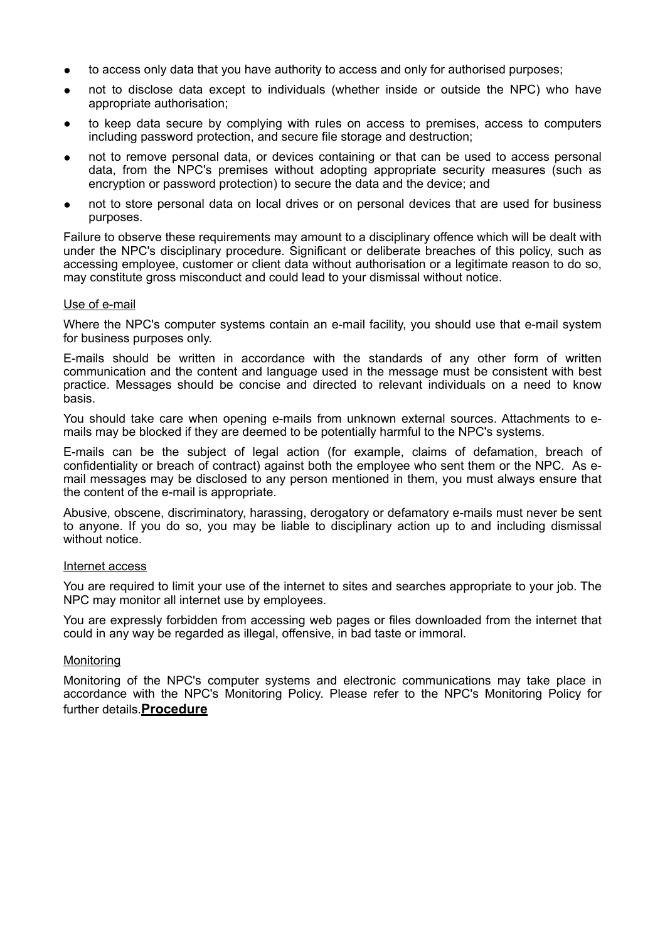- to access only data that you have authority to access and only for authorised purposes;
- not to disclose data except to individuals (whether inside or outside the NPC) who have appropriate authorisation;
- to keep data secure by complying with rules on access to premises, access to computers including password protection, and secure file storage and destruction;
- not to remove personal data, or devices containing or that can be used to access personal data, from the NPC's premises without adopting appropriate security measures (such as encryption or password protection) to secure the data and the device; and
- not to store personal data on local drives or on personal devices that are used for business purposes.

Failure to observe these requirements may amount to a disciplinary offence which will be dealt with under the NPC's disciplinary procedure. Significant or deliberate breaches of this policy, such as accessing employee, customer or client data without authorisation or a legitimate reason to do so, may constitute gross misconduct and could lead to your dismissal without notice.

## Use of e-mail

Where the NPC's computer systems contain an e-mail facility, you should use that e-mail system for business purposes only.

E-mails should be written in accordance with the standards of any other form of written communication and the content and language used in the message must be consistent with best practice. Messages should be concise and directed to relevant individuals on a need to know basis.

You should take care when opening e-mails from unknown external sources. Attachments to emails may be blocked if they are deemed to be potentially harmful to the NPC's systems.

E-mails can be the subject of legal action (for example, claims of defamation, breach of confidentiality or breach of contract) against both the employee who sent them or the NPC. As email messages may be disclosed to any person mentioned in them, you must always ensure that the content of the e-mail is appropriate.

Abusive, obscene, discriminatory, harassing, derogatory or defamatory e-mails must never be sent to anyone. If you do so, you may be liable to disciplinary action up to and including dismissal without notice.

#### Internet access

You are required to limit your use of the internet to sites and searches appropriate to your job. The NPC may monitor all internet use by employees.

You are expressly forbidden from accessing web pages or files downloaded from the internet that could in any way be regarded as illegal, offensive, in bad taste or immoral.

#### **Monitoring**

Monitoring of the NPC's computer systems and electronic communications may take place in accordance with the NPC's Monitoring Policy. Please refer to the NPC's Monitoring Policy for further details.**Procedure**